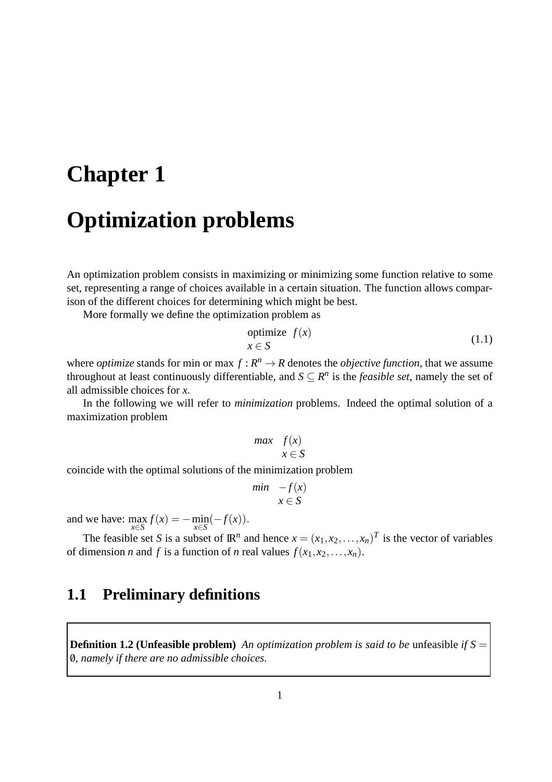# **Chapter 1 Optimization problems**

An optimization problem consists in maximizing or minimizing some function relative to some set, representing a range of choices available in a certain situation. The function allows comparison of the different choices for determining which might be best.

More formally we define the optimization problem as

$$
\begin{array}{ll}\n\text{primitive} & f(x) \\
x \in S\n\end{array} \tag{1.1}
$$

where *optimize* stands for min or max  $f: \mathbb{R}^n \to \mathbb{R}$  denotes the *objective function*, that we assume throughout at least continuously differentiable, and  $S \subseteq R^n$  is the *feasible set*, namely the set of all admissible choices for *x*.

In the following we will refer to *minimization* problems. Indeed the optimal solution of a maximization problem

$$
\begin{array}{ll}\n\text{max} & f(x) \\
x \in S\n\end{array}
$$

coincide with the optimal solutions of the minimization problem

$$
\begin{array}{ll}\nmin & -f(x) \\
x \in S\n\end{array}
$$

and we have:  $\max_{x \in S} f(x) = -\min_{x \in S} (-f(x)).$ 

The feasible set *S* is a subset of  $\mathbb{R}^n$  and hence  $x = (x_1, x_2, \dots, x_n)^T$  is the vector of variables of dimension *n* and *f* is a function of *n* real values  $f(x_1, x_2, \ldots, x_n)$ .

### **1.1 Preliminary definitions**

**Definition 1.2 (Unfeasible problem)** *An optimization problem is said to be* unfeasible *if*  $S =$ /0*, namely if there are no admissible choices.*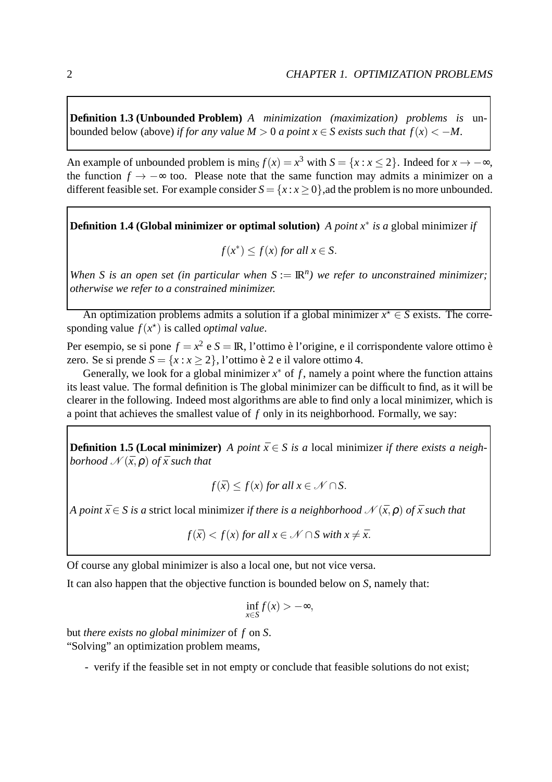**Definition 1.3 (Unbounded Problem)** *A minimization (maximization) problems is* unbounded below (above) *if for any value*  $M > 0$  *a point*  $x \in S$  *exists such that*  $f(x) < -M$ .

An example of unbounded problem is  $\min_S f(x) = x^3$  with  $S = \{x : x \le 2\}$ . Indeed for  $x \to -\infty$ , the function  $f \rightarrow -\infty$  too. Please note that the same function may admits a minimizer on a different feasible set. For example consider  $S = \{x : x \ge 0\}$ , ad the problem is no more unbounded.

**Definition 1.4 (Global minimizer or optimal solution)** *A point x*<sup>∗</sup> *is a* global minimizer *if*

$$
f(x^*) \le f(x) \text{ for all } x \in S.
$$

*When S is an open set (in particular when*  $S := \mathbb{R}^n$ ) we refer to unconstrained minimizer; *otherwise we refer to a constrained minimizer.*

An optimization problems admits a solution if a global minimizer  $x^* \in S$  exists. The corresponding value  $f(x^*)$  is called *optimal value*.

Per esempio, se si pone  $f = x^2$  e  $S = \mathbb{R}$ , l'ottimo è l'origine, e il corrispondente valore ottimo è zero. Se si prende  $S = \{x : x \ge 2\}$ , l'ottimo è 2 e il valore ottimo 4.

Generally, we look for a global minimizer  $x^*$  of  $f$ , namely a point where the function attains its least value. The formal definition is The global minimizer can be difficult to find, as it will be clearer in the following. Indeed most algorithms are able to find only a local minimizer, which is a point that achieves the smallest value of *f* only in its neighborhood. Formally, we say:

**Definition 1.5 (Local minimizer)** *A point*  $\bar{x} \in S$  *is a* local minimizer *if there exists a neighborhood*  $\mathcal{N}(\bar{x}, \rho)$  *of*  $\bar{x}$  *such that* 

$$
f(\bar{x}) \le f(x) \text{ for all } x \in \mathcal{N} \cap S.
$$

*A point*  $\bar{x} \in S$  *is a* strict local minimizer *if there is a neighborhood*  $\mathcal{N}(\bar{x}, \rho)$  *of*  $\bar{x}$  *such that* 

$$
f(\bar{x}) < f(x) \text{ for all } x \in \mathcal{N} \cap S \text{ with } x \neq \bar{x}.
$$

Of course any global minimizer is also a local one, but not vice versa.

It can also happen that the objective function is bounded below on *S*, namely that:

$$
\inf_{x \in S} f(x) > -\infty,
$$

but *there exists no global minimizer* of *f* on *S*. "Solving" an optimization problem meams,

- verify if the feasible set in not empty or conclude that feasible solutions do not exist;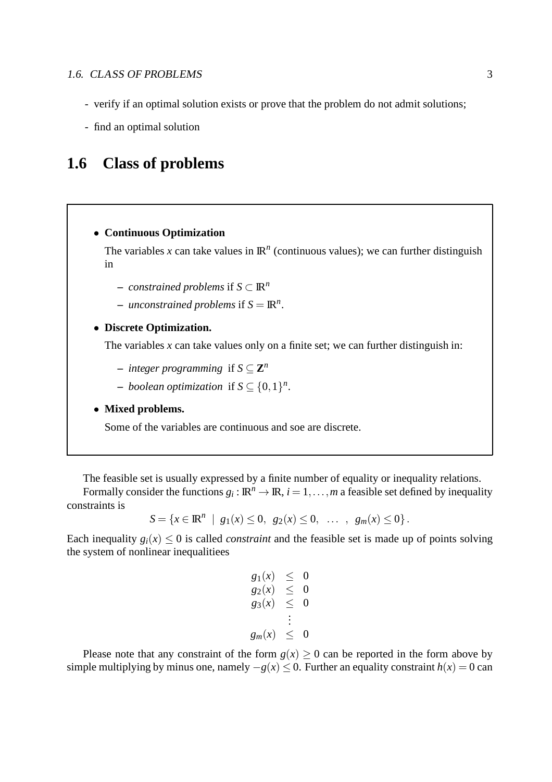- verify if an optimal solution exists or prove that the problem do not admit solutions;
- find an optimal solution

## **1.6 Class of problems**

#### • **Continuous Optimization**

The variables x can take values in  $\mathbb{R}^n$  (continuous values); we can further distinguish in

- **–** *constrained problems* if *S* ⊂ IR*<sup>n</sup>*
- $-$  *unconstrained problems* if  $S = \mathbb{R}^n$ .

#### • **Discrete Optimization.**

The variables  $x$  can take values only on a finite set; we can further distinguish in:

- $\blacksquare$  *integer programming* if  $S \subseteq \mathbf{Z}^n$
- $\blacksquare$  *boolean optimization* if *S* ⊆ {0, 1}<sup>*n*</sup>.

#### • **Mixed problems.**

Some of the variables are continuous and soe are discrete.

The feasible set is usually expressed by a finite number of equality or inequality relations.

Formally consider the functions  $g_i : \mathbb{R}^n \to \mathbb{R}$ ,  $i = 1, ..., m$  a feasible set defined by inequality constraints is

$$
S = \{x \in \mathbb{R}^n \mid g_1(x) \leq 0, \ g_2(x) \leq 0, \ \ldots \ , \ g_m(x) \leq 0\}.
$$

Each inequality  $g_i(x) \leq 0$  is called *constraint* and the feasible set is made up of points solving the system of nonlinear inequalitiees

$$
g_1(x) \le 0\n g_2(x) \le 0\n g_3(x) \le 0\n \vdots\n g_m(x) \le 0
$$

Please note that any constraint of the form  $g(x) \ge 0$  can be reported in the form above by simple multiplying by minus one, namely  $-g(x) < 0$ . Further an equality constraint  $h(x) = 0$  can